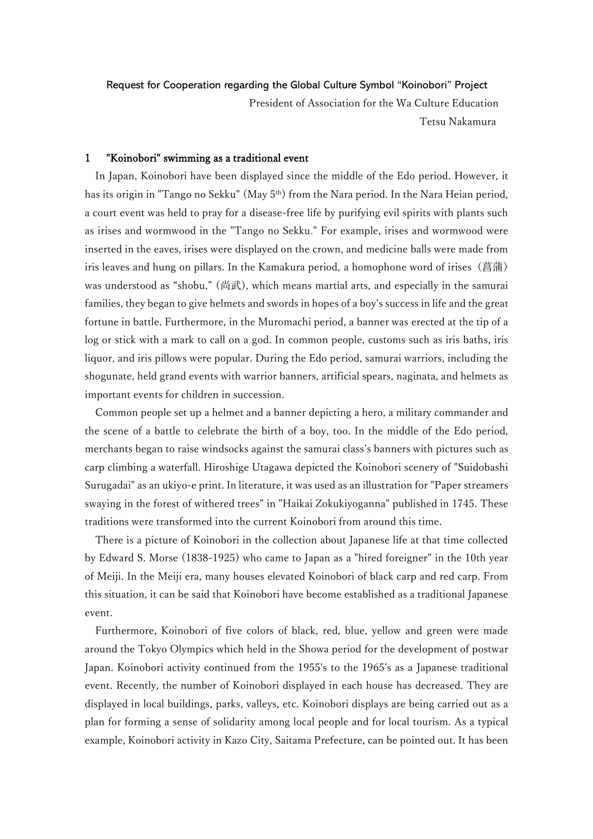Request for Cooperation regarding the Global Culture Symbol "Koinobori" Project

 President of Association for the Wa Culture Education Tetsu Nakamura

# 1 "Koinobori" swimming as a traditional event

In Japan, Koinobori have been displayed since the middle of the Edo period. However, it has its origin in "Tango no Sekku" (May 5<sup>th</sup>) from the Nara period. In the Nara Heian period, a court event was held to pray for a disease-free life by purifying evil spirits with plants such as irises and wormwood in the "Tango no Sekku." For example, irises and wormwood were inserted in the eaves, irises were displayed on the crown, and medicine balls were made from iris leaves and hung on pillars. In the Kamakura period, a homophone word of irises (菖蒲) was understood as "shobu," (尚武), which means martial arts, and especially in the samurai families, they began to give helmets and swords in hopes of a boy's success in life and the great fortune in battle. Furthermore, in the Muromachi period, a banner was erected at the tip of a log or stick with a mark to call on a god. In common people, customs such as iris baths, iris liquor, and iris pillows were popular. During the Edo period, samurai warriors, including the shogunate, held grand events with warrior banners, artificial spears, naginata, and helmets as important events for children in succession.

Common people set up a helmet and a banner depicting a hero, a military commander and the scene of a battle to celebrate the birth of a boy, too. In the middle of the Edo period, merchants began to raise windsocks against the samurai class's banners with pictures such as carp climbing a waterfall. Hiroshige Utagawa depicted the Koinobori scenery of "Suidobashi Surugadai" as an ukiyo-e print. In literature, it was used as an illustration for "Paper streamers swaying in the forest of withered trees" in "Haikai Zokukiyoganna" published in 1745. These traditions were transformed into the current Koinobori from around this time.

There is a picture of Koinobori in the collection about Japanese life at that time collected by Edward S. Morse (1838-1925) who came to Japan as a "hired foreigner" in the 10th year of Meiji. In the Meiji era, many houses elevated Koinobori of black carp and red carp. From this situation, it can be said that Koinobori have become established as a traditional Japanese event.

Furthermore, Koinobori of five colors of black, red, blue, yellow and green were made around the Tokyo Olympics which held in the Showa period for the development of postwar Japan. Koinobori activity continued from the 1955's to the 1965's as a Japanese traditional event. Recently, the number of Koinobori displayed in each house has decreased. They are displayed in local buildings, parks, valleys, etc. Koinobori displays are being carried out as a plan for forming a sense of solidarity among local people and for local tourism. As a typical example, Koinobori activity in Kazo City, Saitama Prefecture, can be pointed out. It has been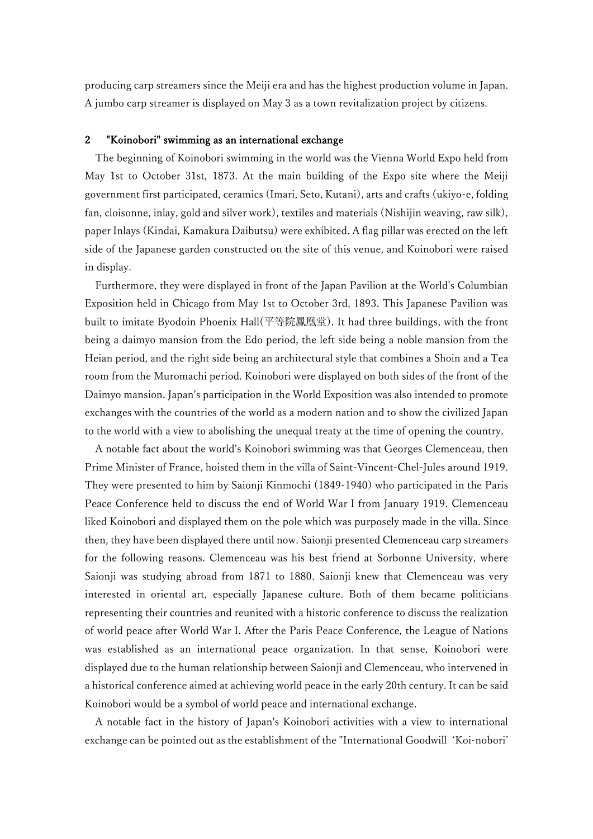producing carp streamers since the Meiji era and has the highest production volume in Japan. A jumbo carp streamer is displayed on May 3 as a town revitalization project by citizens.

# 2 "Koinobori" swimming as an international exchange

The beginning of Koinobori swimming in the world was the Vienna World Expo held from May 1st to October 31st, 1873. At the main building of the Expo site where the Meiji government first participated, ceramics (Imari, Seto, Kutani), arts and crafts (ukiyo-e, folding fan, cloisonne, inlay, gold and silver work), textiles and materials (Nishijin weaving, raw silk), paper Inlays (Kindai, Kamakura Daibutsu) were exhibited. A flag pillar was erected on the left side of the Japanese garden constructed on the site of this venue, and Koinobori were raised in display.

Furthermore, they were displayed in front of the Japan Pavilion at the World's Columbian Exposition held in Chicago from May 1st to October 3rd, 1893. This Japanese Pavilion was built to imitate Byodoin Phoenix Hall(平等院鳳凰堂). It had three buildings, with the front being a daimyo mansion from the Edo period, the left side being a noble mansion from the Heian period, and the right side being an architectural style that combines a Shoin and a Tea room from the Muromachi period. Koinobori were displayed on both sides of the front of the Daimyo mansion. Japan's participation in the World Exposition was also intended to promote exchanges with the countries of the world as a modern nation and to show the civilized Japan to the world with a view to abolishing the unequal treaty at the time of opening the country.

A notable fact about the world's Koinobori swimming was that Georges Clemenceau, then Prime Minister of France, hoisted them in the villa of Saint-Vincent-Chel-Jules around 1919. They were presented to him by Saionji Kinmochi (1849-1940) who participated in the Paris Peace Conference held to discuss the end of World War I from January 1919. Clemenceau liked Koinobori and displayed them on the pole which was purposely made in the villa. Since then, they have been displayed there until now. Saionji presented Clemenceau carp streamers for the following reasons. Clemenceau was his best friend at Sorbonne University, where Saionji was studying abroad from 1871 to 1880. Saionji knew that Clemenceau was very interested in oriental art, especially Japanese culture. Both of them became politicians representing their countries and reunited with a historic conference to discuss the realization of world peace after World War I. After the Paris Peace Conference, the League of Nations was established as an international peace organization. In that sense, Koinobori were displayed due to the human relationship between Saionji and Clemenceau, who intervened in a historical conference aimed at achieving world peace in the early 20th century. It can be said Koinobori would be a symbol of world peace and international exchange.

A notable fact in the history of Japan's Koinobori activities with a view to international exchange can be pointed out as the establishment of the "International Goodwill 'Koi-nobori'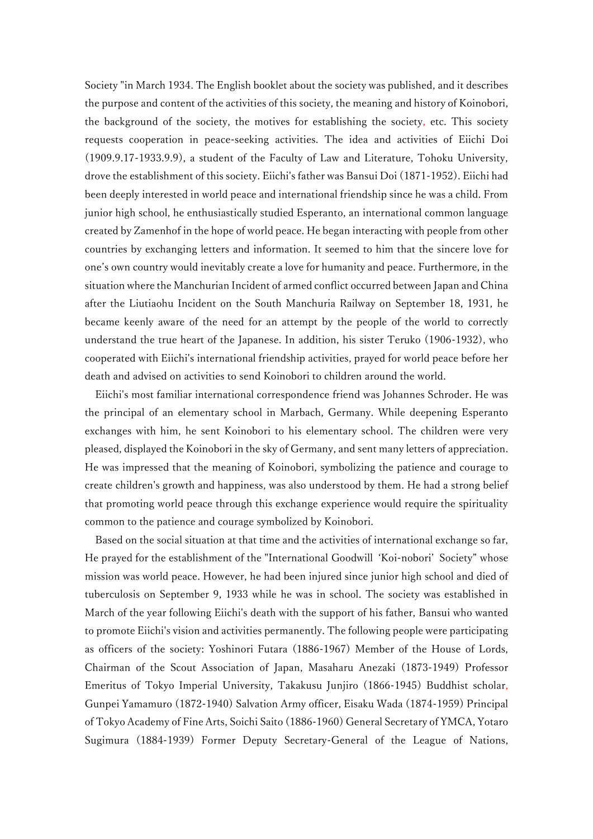Society "in March 1934. The English booklet about the society was published, and it describes the purpose and content of the activities of this society, the meaning and history of Koinobori, the background of the society, the motives for establishing the society, etc. This society requests cooperation in peace-seeking activities. The idea and activities of Eiichi Doi (1909.9.17-1933.9.9), a student of the Faculty of Law and Literature, Tohoku University, drove the establishment of this society. Eiichi's father was Bansui Doi (1871-1952). Eiichi had been deeply interested in world peace and international friendship since he was a child. From junior high school, he enthusiastically studied Esperanto, an international common language created by Zamenhof in the hope of world peace. He began interacting with people from other countries by exchanging letters and information. It seemed to him that the sincere love for one's own country would inevitably create a love for humanity and peace. Furthermore, in the situation where the Manchurian Incident of armed conflict occurred between Japan and China after the Liutiaohu Incident on the South Manchuria Railway on September 18, 1931, he became keenly aware of the need for an attempt by the people of the world to correctly understand the true heart of the Japanese. In addition, his sister Teruko (1906-1932), who cooperated with Eiichi's international friendship activities, prayed for world peace before her death and advised on activities to send Koinobori to children around the world.

Eiichi's most familiar international correspondence friend was Johannes Schroder. He was the principal of an elementary school in Marbach, Germany. While deepening Esperanto exchanges with him, he sent Koinobori to his elementary school. The children were very pleased, displayed the Koinobori in the sky of Germany, and sent many letters of appreciation. He was impressed that the meaning of Koinobori, symbolizing the patience and courage to create children's growth and happiness, was also understood by them. He had a strong belief that promoting world peace through this exchange experience would require the spirituality common to the patience and courage symbolized by Koinobori.

Based on the social situation at that time and the activities of international exchange so far, He prayed for the establishment of the "International Goodwill 'Koi-nobori' Society" whose mission was world peace. However, he had been injured since junior high school and died of tuberculosis on September 9, 1933 while he was in school. The society was established in March of the year following Eiichi's death with the support of his father, Bansui who wanted to promote Eiichi's vision and activities permanently. The following people were participating as officers of the society: Yoshinori Futara (1886-1967) Member of the House of Lords, Chairman of the Scout Association of Japan, Masaharu Anezaki (1873-1949) Professor Emeritus of Tokyo Imperial University, Takakusu Junjiro (1866-1945) Buddhist scholar, Gunpei Yamamuro (1872-1940) Salvation Army officer, Eisaku Wada (1874-1959) Principal of Tokyo Academy of Fine Arts, Soichi Saito (1886-1960) General Secretary of YMCA, Yotaro Sugimura (1884-1939) Former Deputy Secretary-General of the League of Nations,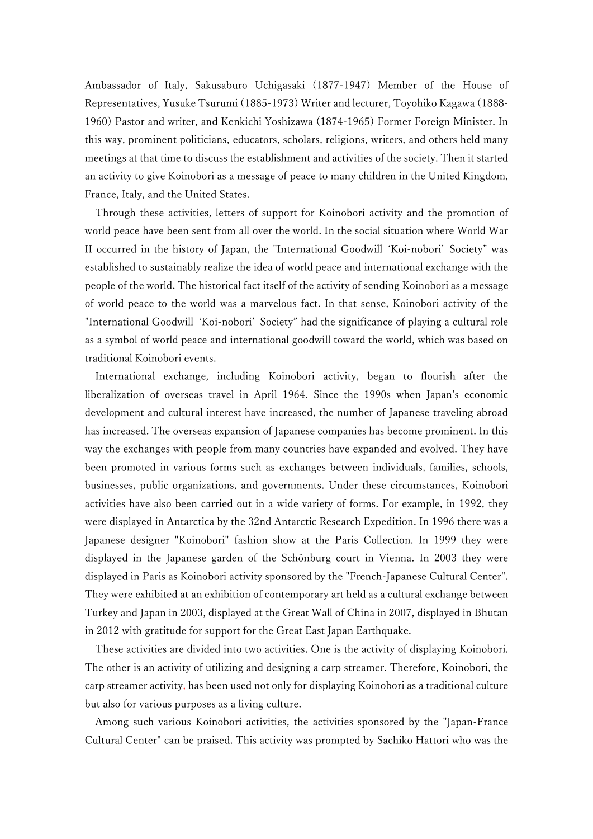Ambassador of Italy, Sakusaburo Uchigasaki (1877-1947) Member of the House of Representatives, Yusuke Tsurumi (1885-1973) Writer and lecturer, Toyohiko Kagawa (1888- 1960) Pastor and writer, and Kenkichi Yoshizawa (1874-1965) Former Foreign Minister. In this way, prominent politicians, educators, scholars, religions, writers, and others held many meetings at that time to discuss the establishment and activities of the society. Then it started an activity to give Koinobori as a message of peace to many children in the United Kingdom, France, Italy, and the United States.

Through these activities, letters of support for Koinobori activity and the promotion of world peace have been sent from all over the world. In the social situation where World War II occurred in the history of Japan, the "International Goodwill 'Koi-nobori' Society" was established to sustainably realize the idea of world peace and international exchange with the people of the world. The historical fact itself of the activity of sending Koinobori as a message of world peace to the world was a marvelous fact. In that sense, Koinobori activity of the "International Goodwill 'Koi-nobori' Society" had the significance of playing a cultural role as a symbol of world peace and international goodwill toward the world, which was based on traditional Koinobori events.

International exchange, including Koinobori activity, began to flourish after the liberalization of overseas travel in April 1964. Since the 1990s when Japan's economic development and cultural interest have increased, the number of Japanese traveling abroad has increased. The overseas expansion of Japanese companies has become prominent. In this way the exchanges with people from many countries have expanded and evolved. They have been promoted in various forms such as exchanges between individuals, families, schools, businesses, public organizations, and governments. Under these circumstances, Koinobori activities have also been carried out in a wide variety of forms. For example, in 1992, they were displayed in Antarctica by the 32nd Antarctic Research Expedition. In 1996 there was a Japanese designer "Koinobori" fashion show at the Paris Collection. In 1999 they were displayed in the Japanese garden of the Schönburg court in Vienna. In 2003 they were displayed in Paris as Koinobori activity sponsored by the "French-Japanese Cultural Center". They were exhibited at an exhibition of contemporary art held as a cultural exchange between Turkey and Japan in 2003, displayed at the Great Wall of China in 2007, displayed in Bhutan in 2012 with gratitude for support for the Great East Japan Earthquake.

These activities are divided into two activities. One is the activity of displaying Koinobori. The other is an activity of utilizing and designing a carp streamer. Therefore, Koinobori, the carp streamer activity, has been used not only for displaying Koinobori as a traditional culture but also for various purposes as a living culture.

Among such various Koinobori activities, the activities sponsored by the "Japan-France Cultural Center" can be praised. This activity was prompted by Sachiko Hattori who was the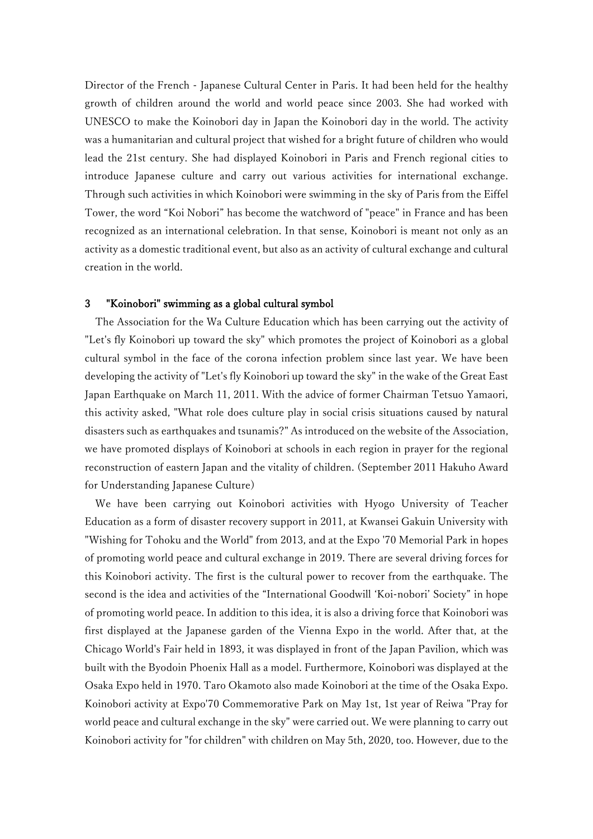Director of the French - Japanese Cultural Center in Paris. It had been held for the healthy growth of children around the world and world peace since 2003. She had worked with UNESCO to make the Koinobori day in Japan the Koinobori day in the world. The activity was a humanitarian and cultural project that wished for a bright future of children who would lead the 21st century. She had displayed Koinobori in Paris and French regional cities to introduce Japanese culture and carry out various activities for international exchange. Through such activities in which Koinobori were swimming in the sky of Paris from the Eiffel Tower, the word "Koi Nobori" has become the watchword of "peace" in France and has been recognized as an international celebration. In that sense, Koinobori is meant not only as an activity as a domestic traditional event, but also as an activity of cultural exchange and cultural creation in the world.

### 3 "Koinobori" swimming as a global cultural symbol

The Association for the Wa Culture Education which has been carrying out the activity of "Let's fly Koinobori up toward the sky" which promotes the project of Koinobori as a global cultural symbol in the face of the corona infection problem since last year. We have been developing the activity of "Let's fly Koinobori up toward the sky" in the wake of the Great East Japan Earthquake on March 11, 2011. With the advice of former Chairman Tetsuo Yamaori, this activity asked, "What role does culture play in social crisis situations caused by natural disasters such as earthquakes and tsunamis?" As introduced on the website of the Association, we have promoted displays of Koinobori at schools in each region in prayer for the regional reconstruction of eastern Japan and the vitality of children. (September 2011 Hakuho Award for Understanding Japanese Culture)

We have been carrying out Koinobori activities with Hyogo University of Teacher Education as a form of disaster recovery support in 2011, at Kwansei Gakuin University with "Wishing for Tohoku and the World" from 2013, and at the Expo '70 Memorial Park in hopes of promoting world peace and cultural exchange in 2019. There are several driving forces for this Koinobori activity. The first is the cultural power to recover from the earthquake. The second is the idea and activities of the "International Goodwill 'Koi-nobori' Society" in hope of promoting world peace. In addition to this idea, it is also a driving force that Koinobori was first displayed at the Japanese garden of the Vienna Expo in the world. After that, at the Chicago World's Fair held in 1893, it was displayed in front of the Japan Pavilion, which was built with the Byodoin Phoenix Hall as a model. Furthermore, Koinobori was displayed at the Osaka Expo held in 1970. Taro Okamoto also made Koinobori at the time of the Osaka Expo. Koinobori activity at Expo'70 Commemorative Park on May 1st, 1st year of Reiwa "Pray for world peace and cultural exchange in the sky" were carried out. We were planning to carry out Koinobori activity for "for children" with children on May 5th, 2020, too. However, due to the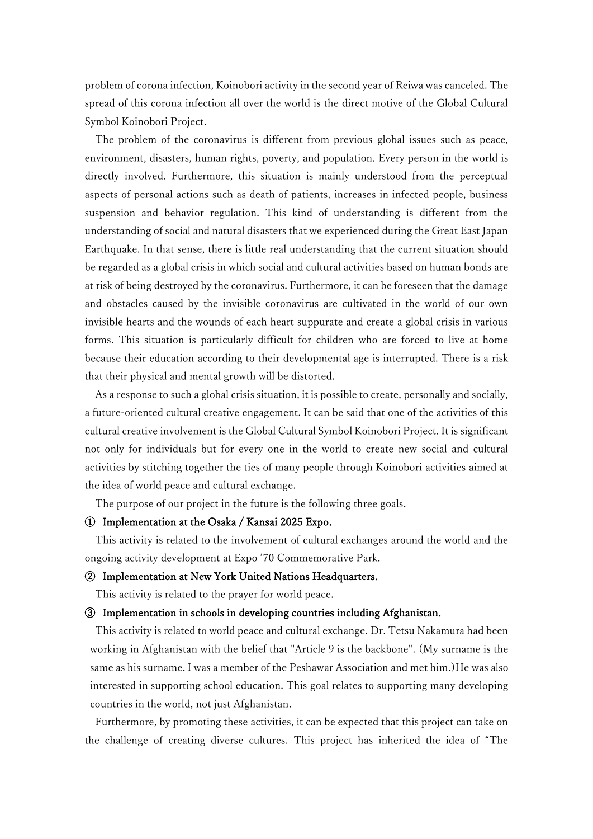problem of corona infection, Koinobori activity in the second year of Reiwa was canceled. The spread of this corona infection all over the world is the direct motive of the Global Cultural Symbol Koinobori Project.

The problem of the coronavirus is different from previous global issues such as peace, environment, disasters, human rights, poverty, and population. Every person in the world is directly involved. Furthermore, this situation is mainly understood from the perceptual aspects of personal actions such as death of patients, increases in infected people, business suspension and behavior regulation. This kind of understanding is different from the understanding of social and natural disasters that we experienced during the Great East Japan Earthquake. In that sense, there is little real understanding that the current situation should be regarded as a global crisis in which social and cultural activities based on human bonds are at risk of being destroyed by the coronavirus. Furthermore, it can be foreseen that the damage and obstacles caused by the invisible coronavirus are cultivated in the world of our own invisible hearts and the wounds of each heart suppurate and create a global crisis in various forms. This situation is particularly difficult for children who are forced to live at home because their education according to their developmental age is interrupted. There is a risk that their physical and mental growth will be distorted.

As a response to such a global crisis situation, it is possible to create, personally and socially, a future-oriented cultural creative engagement. It can be said that one of the activities of this cultural creative involvement is the Global Cultural Symbol Koinobori Project. It is significant not only for individuals but for every one in the world to create new social and cultural activities by stitching together the ties of many people through Koinobori activities aimed at the idea of world peace and cultural exchange.

The purpose of our project in the future is the following three goals.

### ① Implementation at the Osaka / Kansai 2025 Expo.

This activity is related to the involvement of cultural exchanges around the world and the ongoing activity development at Expo '70 Commemorative Park.

### ② Implementation at New York United Nations Headquarters.

This activity is related to the prayer for world peace.

#### ③ Implementation in schools in developing countries including Afghanistan.

This activity is related to world peace and cultural exchange. Dr. Tetsu Nakamura had been working in Afghanistan with the belief that "Article 9 is the backbone". (My surname is the same as his surname. I was a member of the Peshawar Association and met him.)He was also interested in supporting school education. This goal relates to supporting many developing countries in the world, not just Afghanistan.

Furthermore, by promoting these activities, it can be expected that this project can take on the challenge of creating diverse cultures. This project has inherited the idea of "The